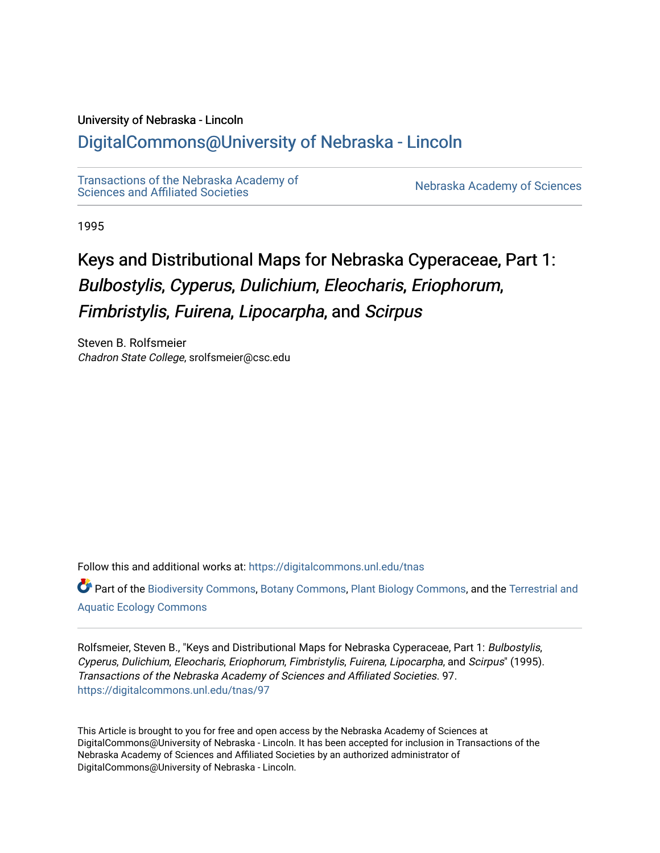#### University of Nebraska - Lincoln

# [DigitalCommons@University of Nebraska - Lincoln](https://digitalcommons.unl.edu/)

[Transactions of the Nebraska Academy of](https://digitalcommons.unl.edu/tnas)  Transactions of the Nebraska Academy of Sciences<br>Sciences and Affiliated Societies

1995

# Keys and Distributional Maps for Nebraska Cyperaceae, Part 1: Bulbostylis, Cyperus, Dulichium, Eleocharis, Eriophorum, Fimbristylis, Fuirena, Lipocarpha, and Scirpus

Steven B. Rolfsmeier Chadron State College, srolfsmeier@csc.edu

Follow this and additional works at: [https://digitalcommons.unl.edu/tnas](https://digitalcommons.unl.edu/tnas?utm_source=digitalcommons.unl.edu%2Ftnas%2F97&utm_medium=PDF&utm_campaign=PDFCoverPages) 

Part of the [Biodiversity Commons](http://network.bepress.com/hgg/discipline/1127?utm_source=digitalcommons.unl.edu%2Ftnas%2F97&utm_medium=PDF&utm_campaign=PDFCoverPages), [Botany Commons](http://network.bepress.com/hgg/discipline/104?utm_source=digitalcommons.unl.edu%2Ftnas%2F97&utm_medium=PDF&utm_campaign=PDFCoverPages), [Plant Biology Commons,](http://network.bepress.com/hgg/discipline/106?utm_source=digitalcommons.unl.edu%2Ftnas%2F97&utm_medium=PDF&utm_campaign=PDFCoverPages) and the [Terrestrial and](http://network.bepress.com/hgg/discipline/20?utm_source=digitalcommons.unl.edu%2Ftnas%2F97&utm_medium=PDF&utm_campaign=PDFCoverPages) [Aquatic Ecology Commons](http://network.bepress.com/hgg/discipline/20?utm_source=digitalcommons.unl.edu%2Ftnas%2F97&utm_medium=PDF&utm_campaign=PDFCoverPages)

Rolfsmeier, Steven B., "Keys and Distributional Maps for Nebraska Cyperaceae, Part 1: Bulbostylis, Cyperus, Dulichium, Eleocharis, Eriophorum, Fimbristylis, Fuirena, Lipocarpha, and Scirpus" (1995). Transactions of the Nebraska Academy of Sciences and Affiliated Societies. 97. [https://digitalcommons.unl.edu/tnas/97](https://digitalcommons.unl.edu/tnas/97?utm_source=digitalcommons.unl.edu%2Ftnas%2F97&utm_medium=PDF&utm_campaign=PDFCoverPages)

This Article is brought to you for free and open access by the Nebraska Academy of Sciences at DigitalCommons@University of Nebraska - Lincoln. It has been accepted for inclusion in Transactions of the Nebraska Academy of Sciences and Affiliated Societies by an authorized administrator of DigitalCommons@University of Nebraska - Lincoln.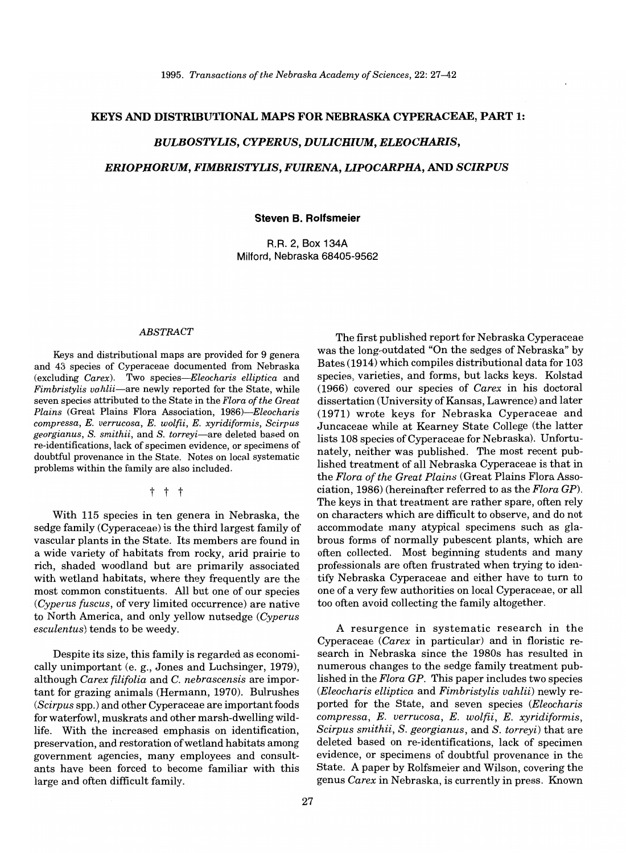#### KEYS AND DISTRIBUTIONAL MAPS FOR NEBRASKA CYPERACEAE, PART 1:

#### *BULBOSTYLIS, CYPERUS, DULICHIUM, ELEOCHARIS,*

*ERIOPHORUM, FIMBRISTYLIS, FUIRENA, LIPOCARPHA,* AND *SCIRPUS* 

#### Steven B. Rolfsmeier

R.R. 2, Box 134A Milford, Nebraska 68405-9562

#### *ABSTRACT*

Keys and distributional maps are provided for 9 genera and 43 species of Cyperaceae documented from Nebraska (excluding *Carex).* Two *species-Eleocharis elliptica* and *Fimbristylis vahlii-are* newly reported for the State, while seven species attributed to the State in the *Flora of the Great Plains* (Great Plains Flora Association, *1986)-Eleocharis compressa, E. verrucosa, E. wolfii, E. xyridiformis, Scirpus georgianus,* S. *smithii,* and S. *torrey* i-are deleted based on re-identifications, lack of specimen evidence, or specimens of doubtful provenance in the State. Notes on local systematic problems within the family are also included.

#### t t t

With 115 species in ten genera in Nebraska, the sedge family (Cyperaceae) is the third largest family of vascular plants in the State. Its members are found in a wide variety of habitats from rocky, arid prairie to rich, shaded woodland but are primarily associated with wetland habitats, where they frequently are the most common constituents. All but one of our species *(Cyperus fuscus,* of very limited occurrence) are native to North America, and only yellow nutsedge *(Cyperus esculentus)* tends to be weedy.

Despite its size, this family is regarded as economically unimportant (e. g., Jones and Luchsinger, 1979), although *Carex filifolia* and C. *nebrascensis* are important for grazing animals (Hermann, 1970). Bulrushes *(Scirpus* spp.) and other Cyperaceae are important foods for waterfowl, muskrats and other marsh-dwelling wildlife. With the increased emphasis on identification, preservation, and restoration of wetland habitats among government agencies, many employees and consultants have been forced to become familiar with this large and often difficult family.

The first published report for Nebraska Cyperaceae was the long-outdated "On the sedges of Nebraska" by Bates (1914) which compiles distributional data for 103 species, varieties, and forms, but lacks keys. Kolstad (1966) covered our species of *Carex* in his doctoral dissertation (University of Kansas, Lawrence) and later (1971) wrote keys for Nebraska Cyperaceae and Juncaceae while at Kearney State College (the latter lists 108 species of Cyperaceae for Nebraska). Unfortunately, neither was published. The most recent published treatment of all Nebraska Cyperaceae is that in the *Flora of the Great Plains* (Great Plains Flora Association, 1986) (hereinafter referred to as the *Flora GP).*  The keys in that treatment are rather spare, often rely on characters which are difficult to observe, and do not accommodate many atypical specimens such as glabrous forms of normally pubescent plants, which are often collected. Most beginning students and many professionals are often frustrated when trying to identify Nebraska Cyperaceae and either have to turn to one of a very few authorities on local Cyperaceae, or all too often avoid collecting the family altogether.

A resurgence in systematic research in the Cyperaceae *(Carex* in particular) and in floristic research in Nebraska since the 1980s has resulted in numerous changes to the sedge family treatment published in the *Flora GP.* This paper includes two species *(Eleocharis elliptica* and *Fimbristylis vahlii)* newly reported for the State, and seven species *(Eleocharis compressa, E. verrucosa, E. wolfii, E. xyridiformis, Scirpus smithii, S. georgianus,* and *S. torreyi)* that are deleted based on re-identifications, lack of specimen evidence, or specimens of doubtful provenance in the State. A paper by Rolfsmeier and Wilson, covering the genus *Carex* in Nebraska, is currently in press. Known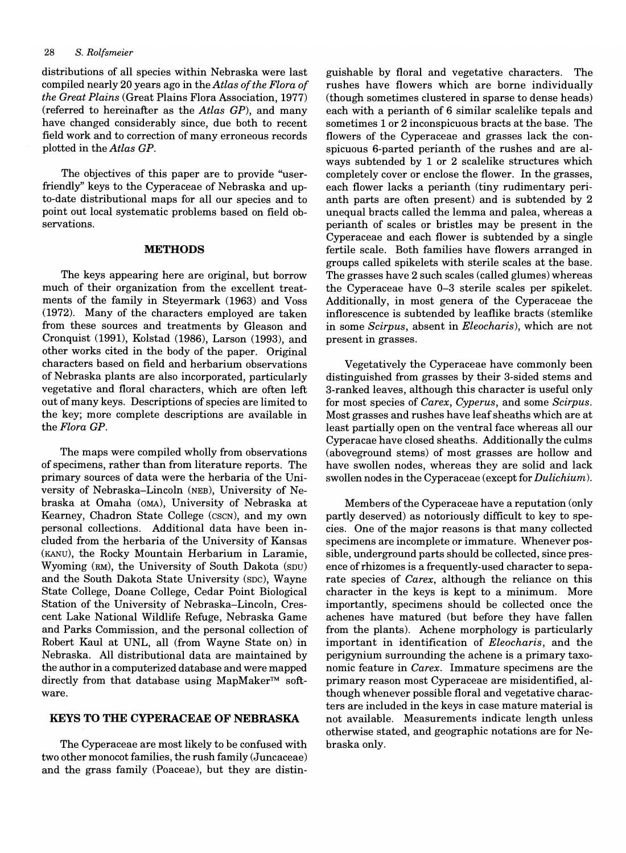distributions of all species within Nebraska were last compiled nearly 20 years ago in the *Atlas of the Flora of the Great Plains* (Great Plains Flora Association, 1977) (referred to hereinafter as the *Atlas GP),* and many have changed considerably since, due both to recent field work and to correction of many erroneous records plotted in the *Atlas GP.* 

The objectives of this paper are to provide "userfriendly" keys to the Cyperaceae of Nebraska and upto-date distributional maps for all our species and to point out local systematic problems based on field observations.

#### **METHODS**

The keys appearing here are original, but borrow much of their organization from the excellent treatments of the family in Steyermark (1963) and Voss (1972). Many of the characters employed are taken from these sources and treatments by Gleason and Cronquist (1991), Kolstad (1986), Larson (1993), and other works cited in the body of the paper. Original characters based on field and herbarium observations of Nebraska plants are also incorporated, particularly vegetative and floral characters, which are often left out of many keys. Descriptions of species are limited to the key; more complete descriptions are available in the *Flora GP.* 

The maps were compiled wholly from observations of specimens, rather than from literature reports. The primary sources of data were the herbaria of the University of Nebraska-Lincoln (NEB), University of Nebraska at Omaha (OMA), University of Nebraska at Kearney, Chadron State College (CSCN), and my own personal collections. Additional data have been included from the herbaria of the University of Kansas (KANu), the Rocky Mountain Herbarium in Laramie, Wyoming (RM), the University of South Dakota (SDU) and the South Dakota State University (SDC), Wayne State College, Doane College, Cedar Point Biological Station of the University of Nebraska-Lincoln, Crescent Lake National Wildlife Refuge, Nebraska Game and Parks Commission, and the personal collection of Robert Kaul at UNL, all (from Wayne State on) in Nebraska. All distributional data are maintained by the author in a computerized database and were mapped directly from that database using MapMaker™ software.

#### **KEYS TO THE CYPERACEAE OF NEBRASKA**

The Cyperaceae are most likely to be confused with two other monocot families, the rush family (Juncaceae) and the grass family (Poaceae), but they are distinguishable by floral and vegetative characters. The rushes have flowers which are borne individually (though sometimes clustered in sparse to dense heads) each with a perianth of 6 similar scalelike tepals and sometimes 1 or 2 inconspicuous bracts at the base. The flowers of the Cyperaceae and grasses lack the conspicuous 6-parted perianth of the rushes and are always subtended by 1 or 2 scalelike structures which completely cover or enclose the flower. In the grasses, each flower lacks a perianth (tiny rudimentary perianth parts are often present) and is subtended by 2 unequal bracts called the lemma and palea, whereas a perianth of scales or bristles may be present in the Cyperaceae and each flower is subtended by a single fertile scale. Both families have flowers arranged in groups called spikelets with sterile scales at the base. The grasses have 2 such scales (called glumes) whereas the Cyperaceae have 0-3 sterile scales per spikelet. Additionally, in most genera of the Cyperaceae the inflorescence is subtended by leaflike bracts (stemlike in some *Scirpus,* absent in *Eleocharis),* which are not present in grasses.

Vegetatively the Cyperaceae have commonly been distinguished from grasses by their 3-sided stems and 3-ranked leaves, although this character is useful only for most species of *Carex, Cyperus,* and some *Scirpus.*  Most grasses and rushes have leaf sheaths which are at least partially open on the ventral face whereas all our Cyperacae have closed sheaths. Additionally the culms (aboveground stems) of most grasses are hollow and have swollen nodes, whereas they are solid and lack swollen nodes in the Cyperaceae (except for *Dulichium).* 

Members of the Cyperaceae have a reputation (only partly deserved) as notoriously difficult to key to species. One of the major reasons is that many collected specimens are incomplete or immature. Whenever possible, underground parts should be collected, since presence of rhizomes is a frequently-used character to separate species of *Carex,* although the reliance on this character in the keys is kept to a minimum. More importantly, specimens should be collected once the achenes have matured (but before they have fallen from the plants). Achene morphology is particularly important in identification of *Eleocharis,* and the perigynium surrounding the achene is a primary taxonomic feature in *Carex.* Immature specimens are the primary reason most Cyperaceae are misidentified, although whenever possible floral and vegetative characters are included in the keys in case mature material is not available. Measurements indicate length unless otherwise stated, and geographic notations are for Nebraska only.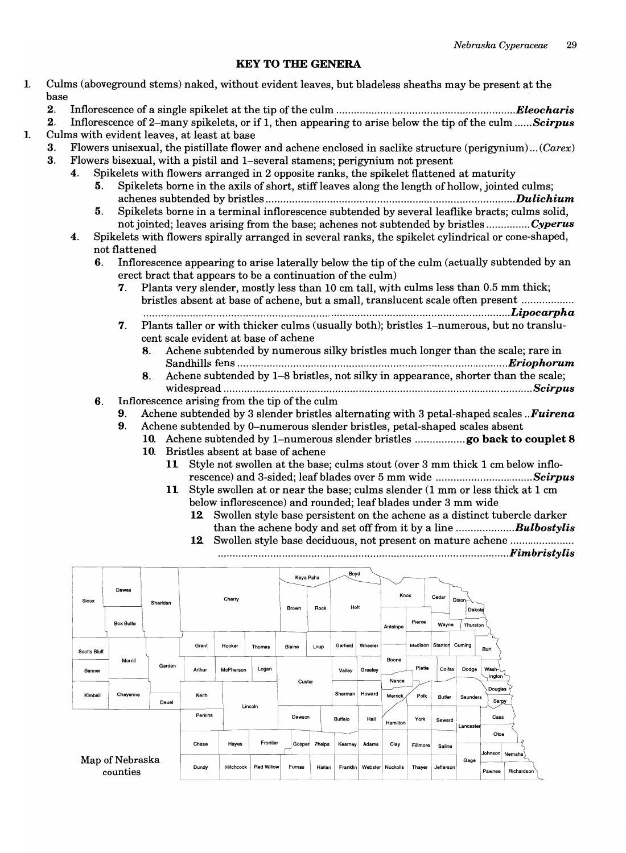#### KEY TO THE GENERA

- 1. Culms (aboveground stems) naked, without evident leaves, but bladeless sheaths may be present at the base
	- 2. Inflorescence of a single spikelet at the tip ofthe culm .........................................................*.... Eleocharis*
- 2. Inflorescence of2-many spikelets, or if 1, then appearing to arise below the tip of the culm *...... Scirpus*  1. Culms with evident leaves, at least at base
	- 3. Flowers unisexual, the pistillate flower and achene enclosed in saclike structure (perigynium)...  $(Care x)$
	- 3. Flowers bisexual, with a pistil and I-several stamens; perigynium not present
		- 4. Spikelets with flowers arranged in 2 opposite ranks, the spikelet flattened at maturity
			- 5. Spikelets borne in the axils of short, stiff leaves along the length of hollow, jointed culms; achenes subtended by bristles ..................................................................................... *Dulichium*
			- 5. Spikelets borne in a terminal inflorescence subtended by severalleaflike bracts; culms solid, not jointed; leaves arising from the base; achenes not subtended by bristles ............... *Cyperus*
		- 4. Spikelets with flowers spirally arranged in several ranks, the spikelet cylindrical or cone-shaped, not flattened
			- 6. Inflorescence appearing to arise laterally below the tip of the culm (actually subtended by an erect bract that appears to be a continuation of the culm)
				- 7. Plants very slender, mostly less than 10 em tall, with culms less than 0.5 mm thick; bristles absent at base of achene, but a small, translucent scale often present ................ .. ........................................................................................................................... *.. Lipocarpha*
				- 7. Plants taller or with thicker culms (usually both); bristles I-numerous, but no translucent scale evident at base of achene
					- 8. Achene subtended by numerous silky bristles much longer than the scale; rare in Sandhills fens ..........................................................................................*.. Eriophorum*
					- 8. Achene subtended by 1-8 bristles, not silky in appearance, shorter than the scale; widespread ..............................................................................*........................... Scirpus*
			- 6. Inflorescence arising from the tip of the culm

9. Achene subtended by 3 slender bristles alternating with 3 petal-shaped scales *.. Fuirena* 

- 9. Achene subtended by O-numerous slender bristles, petal-shaped scales absent
	- 10. Achene subtended by I-numerous slender bristles ................. go back to couplet 8
		- 10. Bristles absent at base of achene
			- 11 Style not swollen at the base; culms stout (over 3 mm thick 1 em below inflorescence) and 3-sided; leaf blades over 5 mm wide *................................. Scirpus*
			- 11 Style swollen at or near the base; culms slender (1 mm or less thick at 1 em below inflorescence) and rounded; leaf blades under 3 mm wide
				- 12. Swollen style base persistent on the achene as a distinct tubercle darker than the achene body and set off from it by a line ................*.... Bulbostylis*
				- 12 Swollen style base deciduous, not present on mature achene .................... .................................................................................................. *. Fimbristylis*

|                             |                  |          | 12      |                  |                   |        |           |          |         |                        |          |           |                    |                          | <b>12</b> Sworlen style base persistent on the achene as a distinct tubercie dai<br>Swollen style base deciduous, not present on mature achene<br><b>Fimbri</b> |
|-----------------------------|------------------|----------|---------|------------------|-------------------|--------|-----------|----------|---------|------------------------|----------|-----------|--------------------|--------------------------|-----------------------------------------------------------------------------------------------------------------------------------------------------------------|
| <b>Sioux</b>                | Dawes            | Sheridan | Cherry  |                  |                   |        | Keya Paha | Boyd     |         | Knox<br>Cedar<br>Dixon |          |           |                    |                          |                                                                                                                                                                 |
|                             | <b>Box Butte</b> |          |         |                  |                   | Brown  | Rock      | Holt     |         | Antelope               | Pierce   | Wayne     | Dakota<br>Thurston |                          |                                                                                                                                                                 |
| <b>Scotts Bluff</b>         |                  |          | Grant   | Hooker           | Thomas            | Blaine | Loup      | Garfield | Wheeler |                        | Madison  | Stanton   | Cuming             | Burt                     |                                                                                                                                                                 |
| Banner                      | Morrill          | Garden   | Arthur  | McPherson        | Logan             |        |           | Valley   | Greeley | Boone                  | Platte   | Colfax    | Dodge              | Wash-<br>ington          |                                                                                                                                                                 |
| Kimball                     | Cheyenne         | Deuel    | Keith   | Lincoln          |                   | Custer |           | Sherman  | Howard  | Nance<br>Merrick       | Polk     | Butler    | Saunders           | Douglas<br>Sarpy         |                                                                                                                                                                 |
|                             |                  |          | Perkins |                  |                   | Dawson |           | Buffalo  | Hall    | Hamilton               | York     | Seward    | Lancaster          | Cass                     |                                                                                                                                                                 |
|                             |                  |          | Chase   | Hayes            | Frontier          | Gosper | Phelps    | Kearnev  | Adams   | Clay                   | Fillmore | Saline    |                    | Otoe                     |                                                                                                                                                                 |
| Map of Nebraska<br>counties |                  |          | Dundy   | <b>Hitchcock</b> | <b>Red Willow</b> | Furnas | Harlan    | Franklin |         | Webster Nuckolls       | Thayer   | Jefferson | Gage               | Johnson Nemaha<br>Pawnee | Richardson                                                                                                                                                      |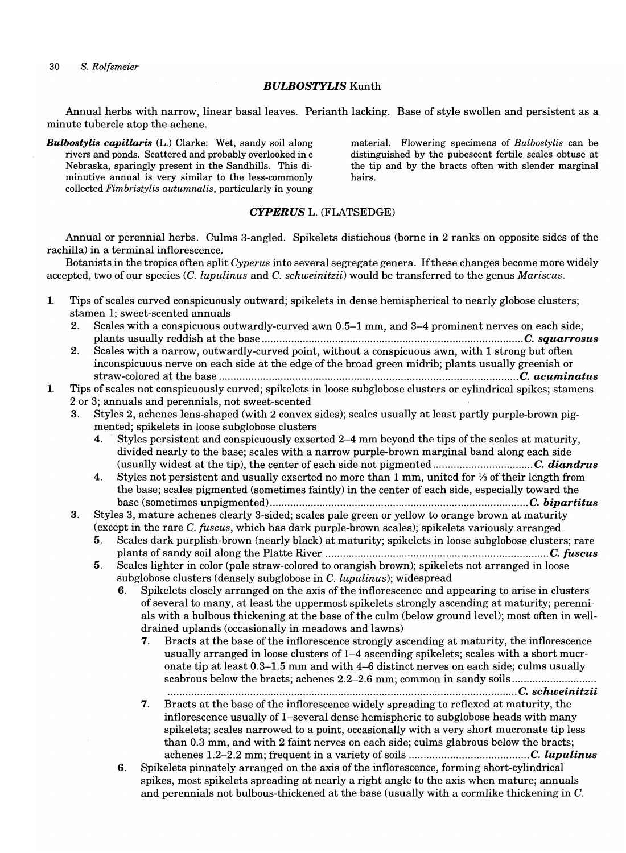*30 S. Rolfsmeier* 

#### *BULBOSTYLIS* Kunth

Annual herbs with narrow, linear basal leaves. Perianth lacking. Base of style swollen and persistent as a minute tubercle atop the achene.

*Bulbostylis capillaris* (L.) Clarke: Wet, sandy soil along rivers and ponds. Scattered and probably overlooked in c Nebraska, sparingly present in the Sandhills. This diminutive annual is very similar to the less-commonly collected *Fimbristylis autumnalis,* particularly in young

material. Flowering specimens of *Bulbostylis* can be distinguished by the pubescent fertile scales obtuse at the tip and by the bracts often with slender marginal hairs.

#### *CYPERUS* L. (FLATSEDGE)

Annual or perennial herbs. Culms 3-angled. Spikelets distichous (borne in 2 ranks on opposite sides of the rachilla) in a terminal inflorescence.

Botanists in the tropics often split *Cyperus* into several segregate genera. If these changes become more widely accepted, two of our species *(C. lupulinus* and C. *sehweinitzii)* would be transferred to the genus *Mariseus.* 

- 1. Tips of scales curved conspicuously outward; spikelets in dense hemispherical to nearly globose clusters; stamen 1; sweet-scented annuals
	- 2. Scales with a conspicuous outwardly-curved awn 0.5-1 mm, and 3-4 prominent nerves on each side; plants usually reddish at the base ......................................................................................... C. *squarrosus*
	- 2. Scales with a narrow, outwardly-curved point, without a conspicuous awn, with 1 strong but often inconspicuous nerve on each side at the edge of the broad green midrib; plants usually greenish or straw-colored at the base ...................................................................................................... C. *acuminatus*

#### 1. Tips of scales not conspicuously curved; spikelets in loose subglobose clusters or cylindrical spikes; stamens 2 or 3; annuals and perennials, not sweet-scented

- 3. Styles 2, achenes lens-shaped (with 2 convex sides); scales usually at least partly purple-brown pigmented; spikelets in loose subglobose clusters
	- 4. Styles persistent and conspicuously exserted 2–4 mm beyond the tips of the scales at maturity, divided nearly to the base; scales with a narrow purple-brown marginal band along each side (usually widest at the tip), the center of each side not pigmented .................................. C. *diandrus*
	- 4. Styles not persistent and usually exserted no more than 1 mm, united for  $\frac{1}{3}$  of their length from the base; scales pigmented (sometimes faintly) in the center of each side, especially toward the base (sometimes unpigmented) ........................................................................................ C. *bipartitus*
- 3. Styles 3, mature achenes clearly 3-sided; scales pale green or yellow to orange brown at maturity (except in the rare C. *fuscus*, which has dark purple-brown scales); spikelets variously arranged
	- 5. Scales dark purplish-brown (nearly black) at maturity; spikelets in loose subglobose clusters; rare plants of sandy soil along the Platte River ............................................................................ C. *fuscus*
	- 5. Scales lighter in color (pale straw-colored to orangish brown); spikelets not arranged in loose subglobose clusters (densely subglobose in C. *lupulinus);* widespread
		- 6. Spikelets closely arranged on the axis of the inflorescence and appearing to arise in clusters of several to many, at least the uppermost spikelets strongly ascending at maturity; perennials with a bulbous thickening at the base of the culm (below ground level); most often in welldrained uplands (occasionally in meadows and lawns)
			- 7. Bracts at the base of the inflorescence strongly ascending at maturity, the inflorescence usually arranged in loose clusters of  $1-4$  ascending spikelets; scales with a short mucronate tip at least 0.3-1.5 mm and with 4-6 distinct nerves on each side; culms usually scabrous below the bracts; achenes 2.2–2.6 mm; common in sandy soils ..............................

....................................................................................................................... C. *schweinitzii* 

- 7. Bracts at the base of the inflorescence widely spreading to reflexed at maturity, the inflorescence usually of I-several dense hemispheric to subglobose heads with many spikelets; scales narrowed to a point, occasionally with a very short mucronate tip less than 0.3 mm, and with 2 faint nerves on each side; culms glabrous below the bracts; achenes 1.2-2.2 mm; frequent in a variety of soils ......................................... C. *lupulinus*
- 6. Spikelets pinnately arranged on the axis of the inflorescence, forming short-cylindrical spikes, most spikelets spreading at nearly a right angle to the axis when mature; annuals and perennials not bulbous-thickened at the base (usually with a cormlike thickening in C.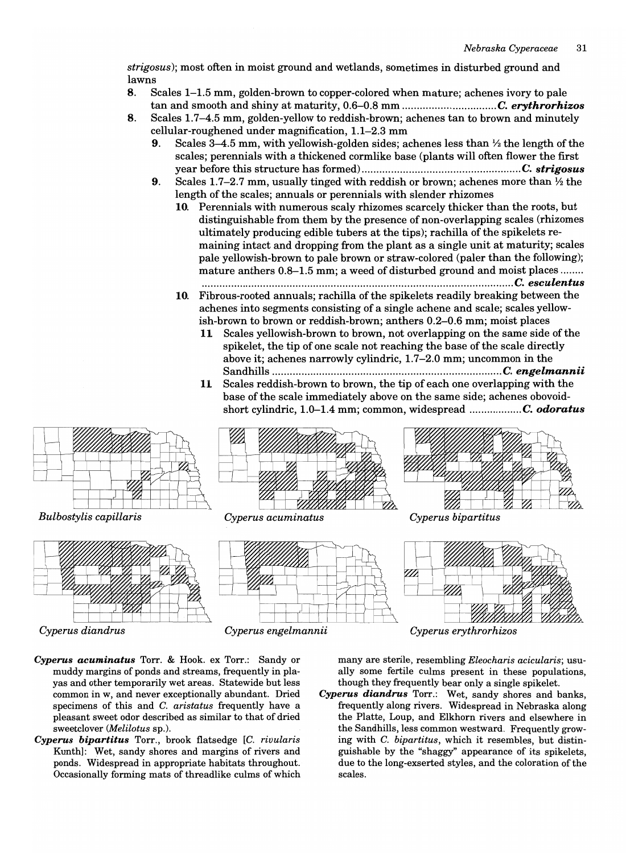*strigosus);* most often in moist ground and wetlands, sometimes in disturbed ground and lawns

- 8. Scales 1-1.5 mm, golden-brown to copper-colored when mature; achenes ivory to pale tan and smooth and shiny at maturity, 0.6-0.8 mm *................................ C. erythrorhizos*
- 8. Scales 1.7-4.5 mm, golden-yellow to reddish-brown; achenes tan to brown and minutely cellular-roughened under magnification, 1.1-2.3 mm
	- 9. Scales 3-4.5 mm, with yellowish-golden sides; achenes less than  $\frac{1}{2}$  the length of the scales; perennials with a thickened cormlike base (plants will often flower the first year before this structure has formed) ...................................................... C. *strigosus*
	- 9. Scales 1.7-2.7 mm, usually tinged with reddish or brown; achenes more than  $\frac{1}{2}$  the length of the scales; annuals or perennials with slender rhizomes
		- 10. Perennials with numerous scaly rhizomes scarcely thicker than the roots, but distinguishable from them by the presence of non-overlapping scales (rhizomes ultimately producing edible tubers at the tips); rachilla of the spikelets remaining intact and dropping from the plant as a single unit at maturity; scales pale yellowish-brown to pale brown or straw-colored (paler than the following); mature anthers  $0.8-1.5$  mm; a weed of disturbed ground and moist places .......
		- .......................................................................................................... C. *esculentus*  10. Fibrous-rooted annuals; rachilla of the spikelets readily breaking between the achenes into segments consisting of a single achene and scale; scales yellowish-brown to brown or reddish-brown; anthers 0.2-0.6 mm; moist places
			- **11** Scales yellowish-brown to brown, not overlapping on the same side of the spikelet, the tip of one scale not reaching the base of the scale directly above it; achenes narrowly cylindric, 1.7-2.0 mm; uncommon in the Sandhills .............................................................................. C. *engelmannii*
			- **11** Scales reddish-brown to brown, the tip of each one overlapping with the base of the scale immediately above on the same side; achenes obovoidshort cylindric, 1.0-1.4 mm; common, widespread *.................. C. odoratus*



- *Cyperus acuminatus* Torr. & Hook. ex Torr.: Sandy or muddy margins of ponds and streams, frequently in playas and other temporarily wet areas. Statewide but less common in w, and never exceptionally abundant. Dried specimens of this and C. *aristatus* frequently have a pleasant sweet odor described as similar to that of dried sweetclover *(Melilotus* sp.).
- *Cyperus bipartitus* Torr., brook flats edge *[C. rivularis*  Kunthl: Wet, sandy shores and margins of rivers and ponds. Widespread in appropriate habitats throughout. Occasionally forming mats of threadlike culms of which

many are sterile, resembling *Eleocharis acicularis;* usually some fertile culms present in these populations, though they frequently bear only a single spikelet.

*Cyperus diandrus* Torr.: Wet, sandy shores and banks, frequently along rivers. Widespread in Nebraska along the Platte, Loup, and Elkhorn rivers and elsewhere in the Sandhills, less common westward. Frequently growing with C. *bipartitus,* which it resembles, but distinguishable by the "shaggy" appearance of its spikelets, due to the long-exserted styles, and the coloration of the scales.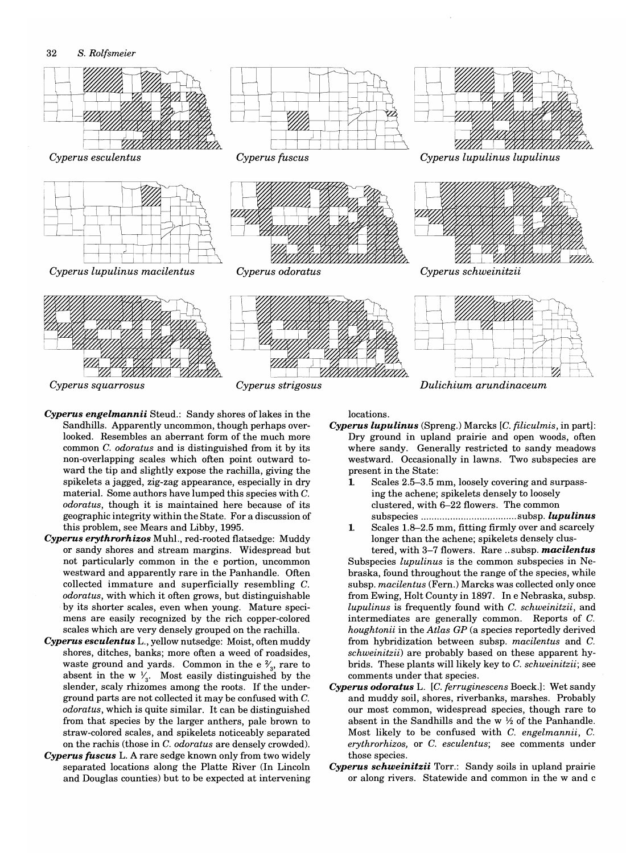

*Cyperus squarrosus Cyperus strigosus* 

- Cyperus engelmannii Steud.: Sandy shores of lakes in the Sandhills. Apparently uncommon, though perhaps overlooked. Resembles an aberrant form of the much more common C. *odoratus* and is distinguished from it by its non-overlapping scales which often point outward toward the tip and slightly expose the rachilla, giving the spikelets a jagged, zig-zag appearance, especially in dry material. Some authors have lumped this species with C. *odoratus,* though it is maintained here because of its geographic integrity within the State. For a discussion of this problem, see Mears and Libby, 1995.
- *Cyperus erythrorhizos* Muhl., red-rooted flatsedge: Muddy or sandy shores and stream margins. Widespread but not particularly common in the e portion, uncommon westward and apparently rare in the Panhandle. Often collected immature and superficially resembling C. *odoratus,* with which it often grows, but distinguishable by its shorter scales, even when young. Mature specimens are easily recognized by the rich copper-colored scales which are very densely grouped on the rachilla.
- *Cyperus eseulentus* L., yellow nutsedge: Moist, often muddy shores, ditches, banks; more often a weed of roadsides, waste ground and yards. Common in the e  $\frac{2}{3}$ , rare to absent in the w  $\frac{1}{3}$ . Most easily distinguished by the slender, scaly rhizomes among the roots. If the underground parts are not collected it may be confused with C. *odoratus,* which is quite similar. It can be distinguished from that species by the larger anthers, pale brown to straw-colored scales, and spikelets noticeably separated on the rachis (those in C. *odoratus* are densely crowded).
- *Cyperus fuse us* L. A rare sedge known only from two widely separated locations along the Platte River (In Lincoln and Douglas counties) but to be expected at intervening

locations.

- *Cyperus lupulinus* (Spreng.) Marcks *[C. filiculmis,* in part]: Dry ground in upland prairie and open woods, often where sandy. Generally restricted to sandy meadows westward. Occasionally in lawns. Two subspecies are present in the State:
	- 1. Scales 2.5-3.5 mm, loosely covering and surpassing the achene; spikelets densely to loosely clustered, with 6-22 flowers. The common subspecies .................................... subsp. *lupulinus*
	- 1. Scales 1.8-2.5 mm, fitting firmly over and scarcely longer than the achene; spikelets densely clus-

tered, with 3-7 flowers. Rare .. subsp. *maeilentus*  Subspecies *lupulinus* is the common subspecies in Nebraska, found throughout the range of the species, while subsp. *macilentus* (Fern.) Marcks was collected only once from Ewing, Holt County in 1897. In e Nebraska, subsp. *lupulinus* is frequently found with C. *schweinitzii,* and intermediates are generally common. Reports of C. *houghtonii* in the *Atlas GP* (a species reportedly derived from hybridization between subsp. *macilentus* and C. *schweinitzii)* are probably based on these apparent hybrids. These plants will likely key to C. *schweinitzii;* see comments under that species.

- *Cyperus odoratus* L. *[C. ferruginescens* Boeck.]: Wet sandy and muddy soil, shores, riverbanks, marshes. Probably our most common, widespread species, though rare to absent in the Sandhills and the w  $\frac{1}{2}$  of the Panhandle. Most likely to be confused with C. *engelmannii,* C. *erythrorhizos,* or C. *esculentus;* see comments under those species.
- *Cyperus sehweinitzii* Torr.: Sandy soils in upland prairie or along rivers. Statewide and common in the wand c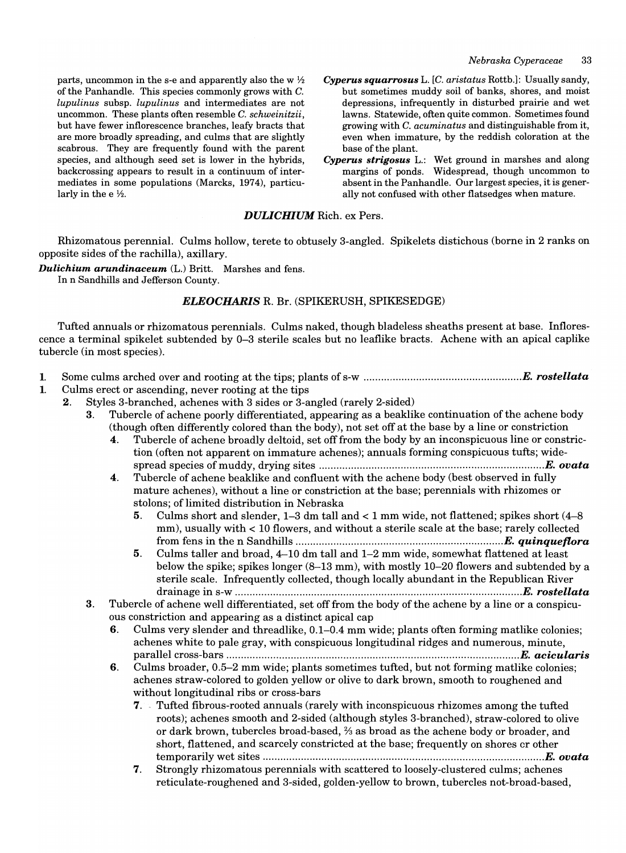parts, uncommon in the s-e and apparently also the w  $\frac{1}{2}$ of the Panhandle. This species commonly grows with C. *lupulinus* subsp. *lupulinus* and intermediates are not uncommon. These plants often resemble C. *schweinitzii,*  but have fewer inflorescence branches, leafy bracts that are more broadly spreading, and culms that are slightly scabrous. They are frequently found with the parent species, and although seed set is lower in the hybrids, backcrossing appears to result in a continuum of intermediates in some populations (Marcks, 1974), particularly in the  $e\frac{1}{2}$ .

- *Cyperus squarrosus* L. *[C. aristatus* Rottb.]: Usually sandy, but sometimes muddy soil of banks, shores, and moist depressions, infrequently in disturbed prairie and wet lawns. Statewide, often quite common. Sometimes found growing with C. *acuminatus* and distinguishable from it, even when immature, by the reddish coloration at the base of the plant.
- *Cyperus strigosus* L.: Wet ground in marshes and along margins of ponds. Widespread, though uncommon to absent in the Panhandle. Our largest species, it is generally not confused with other flatsedges when mature.

#### *DULICHIUM* Rich. ex Pers.

Rhizomatous perennial. Culms hollow, terete to obtusely 3-angled. Spikelets distichous (borne in 2 ranks on opposite sides of the rachilla), axillary.

*Dulichium arundinaceum* (L.) Britt. Marshes and fens. In n Sandhills and Jefferson County.

#### *ELEOCHARIS* R. Br. (SPIKERUSH, SPIKESEDGE)

Tufted annuals or rhizomatous perennials. Culms naked, though bladeless sheaths present at base. Inflorescence a terminal spikelet subtended by 0-3 sterile scales but no leaflike bracts. Achene with an apical caplike tubercle (in most species).

- 1. Some culms arched over and rooting at the tips; plants of s-w ....................................................*.. E. rostellata*
- 1. Culms erect or ascending, never rooting at the tips
	- 2. Styles 3-branched, achenes with 3 sides or 3-angled (rarely 2-sided)
		- 3. Tubercle of achene poorly differentiated, appearing as a beaklike continuation of the achene body (though often differently colored than the body), not set off at the base by a line or constriction
			- 4. Tubercle of achene broadly deltoid, set off from the body by an inconspicuous line or constriction (often not apparent on immature achenes); annuals forming conspicuous tufts; widespread species of muddy, drying sites .................................................... *......................... E. ovata*
			- 4. Tubercle of achene beaklike and confluent with the achene body (best observed in fully mature achenes), without a line or constriction at the base; perennials with rhizomes or stolons; of limited distribution in Nebraska
				- 5. Culms short and slender, 1-3 dm tall and < 1 mm wide, not flattened; spikes short (4-8 mm), usually with  $< 10$  flowers, and without a sterile scale at the base; rarely collected from fens in the n Sandhills ......................................................................*. E. quinqueflora*
				- 5. Culms taller and broad, 4-10 dm tall and 1-2 mm wide, somewhat flattened at least below the spike; spikes longer (8-13 mm), with mostly 10-20 flowers and subtended by a sterile scale. Infrequently collected, though locally abundant in the Republican River drainage in s-w .................................................................................................*. E. roste"ata*
		- 3. Tubercle of achene well differentiated, set off from the body of the achene by a line or a conspicuous constriction and appearing as a distinct apical cap
			- 6. Culms very slender and threadlike, 0.1-0.4 mm wide; plants often forming matlike colonies; achenes white to pale gray, with conspicuous longitudinal ridges and numerous, minute, parallel cross-bars ......................................................*.............................................. E. acicularis*
			- 6. Culms broader, 0.5-2 mm wide; plants sometimes tufted, but not forming matlike colonies; achenes straw-colored to golden yellow or olive to dark brown, smooth to roughened and without longitudinal ribs or cross-bars
				- 7. ' Tufted fibrous-rooted annuals (rarely with inconspicuous rhizomes among the tufted roots); achenes smooth and 2-sided (although styles 3-branched), straw-colored to olive or dark brown, tubercles broad-based, % as broad as the achene body or broader, and short, flattened, and scarcely constricted at the base; frequently on shores cr other temporarily wet sites ...............................................................................................*. E. ovata*
				- 7. Strongly rhizomatous perennials with scattered to loosely-clustered culms; achenes reticulate-roughened and 3-sided, golden-yellow to brown, tubercles not-broad-based,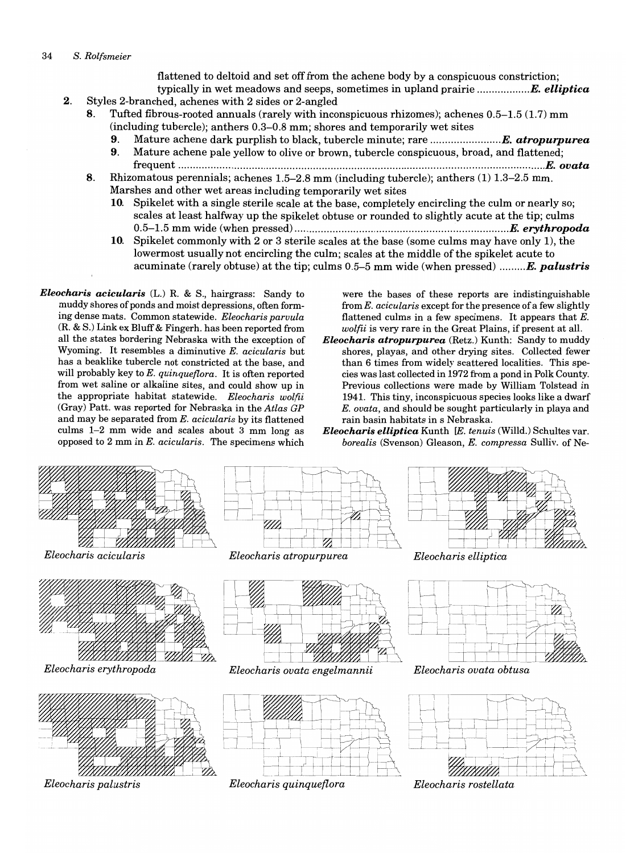flattened to deltoid and set off from the achene body by a conspicuous constriction;

- typically in wet meadows and seeps, sometimes in upland prairie ................*.. E. elliptica*  2. Styles 2-branched, achenes with 2 sides or 2-angled
	- 8. Tufted fibrous-rooted annuals (rarely with inconspicuous rhizomes); achenes 0.5-1.5 (1.7) mm (including tubercle); anthers 0.3-0.8 mm; shores and temporarily wet sites
		- 9. Mature achene dark purplish to black, tubercle minute; rare ...........................E. atropurpurea
		- 9. Mature achene pale yellow to olive or brown, tubercle conspicuous, broad, and flattened; frequent ...........................................................................................................................*.. E. ovata*
	- 8. Rhizomatous perennials; achenes 1.5-2.8 mm (including tubercle); anthers (1) 1.3-2.5 mm. Marshes and other wet areas including temporarily wet sites
		- 10. Spikelet with a single sterile scale at the base, completely encircling the culm or nearly so; scales at least halfway up the spikelet obtuse or rounded to slightly acute at the tip; culms 0.5-1.5 mm wide (when pressed) ......................................................*................... E. erythropoda*
		- 10. Spikelet commonly with 2 or 3 sterile scales at the base (some culms may have only 1), the lowermost usually not encircling the culm; scales at the middle of the spikelet acute to acuminate (rarely obtuse) at the tip; culms 0.5-5 mm wide (when pressed) *......... E. palustris*
- *Eleocharis acicularis* (L.) R. & S., hairgrass: Sandy to muddy shores of ponds and moist depressions, often forming dense mats. Common statewide. *Eleocharis paruula*  (R. & S.) Link ex Bluff & Fingerh. has been reported from all the states bordering Nebraska with the exception of Wyoming. It resembles a diminutive *E. acicularis* but has a beaklike tubercle not constricted at the base, and will probably key to *E. quinqueflora.* It is often reported from wet saline or alkaline sites, and could show up in the appropriate habitat statewide. *Eleocharis wolfii*  (Gray) Patt. was reported for Nebraska in the *Atlas GP*  and may be separated from *E. acicularis* by its flattened culms 1-2 mm wide and scales about 3 mm long as opposed to 2 mm in *E. acicularis.* The specimens which

were the bases of these reports are indistinguishable from *E. acicularis* except for the presence of a few slightly flattened culms in a few specimens. It appears that  $E$ . *wolfii* is very rare in the Great Plains, if present at all.

*Eleocharis atropurpurea* (Retz.) Kunth: Sandy to muddy shores, playas, and other drying sites. Collected fewer than 6 times from widely scattered localities. This species was last collected in 1972 from a pond in Polk County. Previous collections were made by William Tolstead in 1941. This tiny, inconspicuous species looks like a dwarf *E. ouata,* and should be sought particularly in playa and rain basin habitats in s Nebraska.

*Eleocharis elliptica* Kunth *[E. tenuis* (Willd.) Schultes var. *borealis* (Svenson) Gleason, *E. compressa* Sulliv. of Ne-

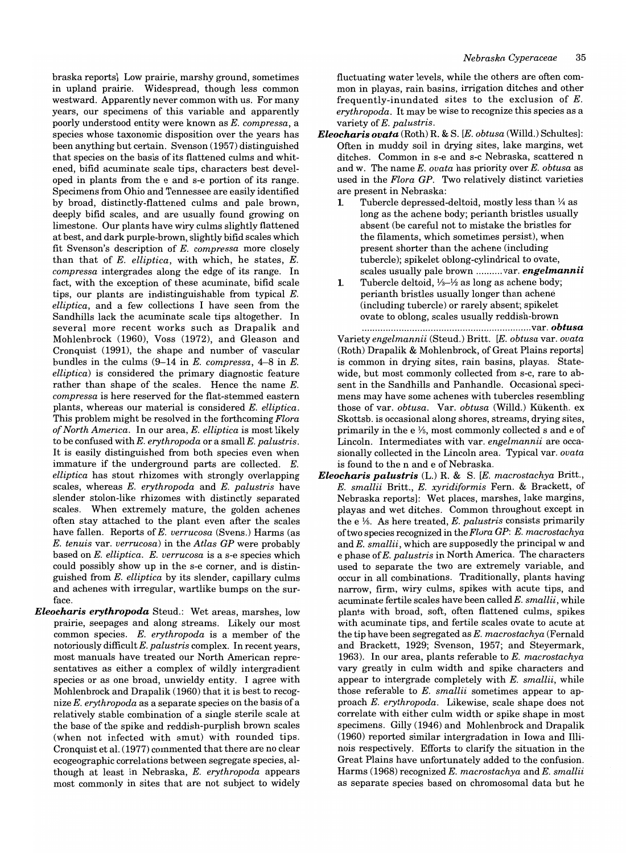braska reports] Low prairie, marshy ground, sometimes in upland prairie. Widespread, though less common westward. Apparently never common with us. For many years, our specimens of this variable and apparently poorly understood entity were known as *E. compressa,* a species whose taxonomic disposition over the years has been anything but certain. Svenson (1957) distinguished that species on the basis of its flattened culms and whitened, bifid acuminate scale tips, characters best developed in plants from the e and s-e portion of its range. Specimens from Ohio and Tennessee are easily identified by broad, distinctly-flattened culms and pale brown, deeply bifid scales, and are usually found growing on limestone. Our plants have wiry culms slightly flattened at best, and dark purple-brown, slightly bifid scales which fit Svenson's description of *E. compressa* more closely than that of *E. elliptica,* with which, he states, *E. compressa* intergrades along the edge of its range. In fact, with the exception of these acuminate, bifid scale tips, our plants are indistinguishable from typical E. *elliptica,* and a few collections I have seen from the Sandhills lack the acuminate scale tips altogether. In several more recent works such as Drapalik and Mohlenbrock (1960), Voss (1972), and Gleason and Cronquist (1991), the shape and number of vascular bundles in the culms (9-14 in *E. compressa,* 4-8 in *E. elliptical* is considered the primary diagnostic feature rather than shape of the scales. Hence the name *E. compressa* is here reserved for the flat-stemmed eastern plants, whereas our material is considered *E. elliptica.*  This problem might be resolved in the forthcoming *Flora of North Amenca.* In our area, *E. elliptica* is most likely to be confused with *E. erythropoda* or a small *E. palustris.* It is easily distinguished from both species even when immature if the underground parts are collected. E. *elliptica* has stout rhizomes with strongly overlapping scales, whereas *E. erythropoda* and *E. palustris* have slender stolon-like rhizomes with distinctly separated scales. When extremely mature, the golden achenes often stay attached to the plant even after the scales have fallen. Reports of *E. verrucosa* (Svens.) Harms (as *E. tenuis* var. *verrucosa)* in the *Atlas GP* were probably based on *E. elliptica. E. verrucosa* is a s-e species which could possibly show up in the s-e corner, and is distinguished from *E. elliptica* by its slender, capillary culms and achenes with irregular, wartlike bumps on the surface.

*Eleocharis erythropoda* Steud.: Wet areas, marshes, low prairie, seepages and along streams. Likely our most common species. *E. erythropoda* is a member of the notoriously difficult E. *palustris* complex. In recent years, most manuals have treated our North American representatives as either a complex of wildly intergradient species or as one broad, unwieldy entity. I agree with Mohlenbrock and Drapalik (1960) that it is best to recognize *E. erythropoda* as a separate species on the basis of a relatively stable combination of a single sterile scale at the base of the spike and reddish-purplish brown scales (when not infected with smut) with rounded tips. Cronquist et al. (1977) commented that there are no clear ecogeographic correlations between segregate species, although at least in Nebraska, *E. erythropoda* appears most commonly in sites that are not subject to widely fluctuating water levels, while the others are often common in playas, rain basins, irrigation ditches and other frequently-inundated sites to the exclusion of E. *erythropoda.* It may be wise to recognize this species as a variety of *E. palustris.* 

- *Eleocharis ovata* (Roth) R. & S. *[E. obtusa* (Willd.) Schultes]: Often in muddy soil in drying sites, lake margins, wet ditches. Common in s-e and s-c Nebraska, scattered n and w. The name *E. ovata* has priority over *E. obtusa* as used in the *Flora GP.* Two relatively distinct varieties are present in Nebraska:
	- 1. Tubercle depressed-deltoid, mostly less than  $\frac{1}{4}$  as long as the achene body; perianth bristles usually absent (be careful not to mistake the bristles for the filaments, which sometimes persist), when present shorter than the achene (including tubercle); spikelet oblong-cylindrical to ovate, scales usually pale brown .......... var. *engelmannii*
	- 1. Tubercle deltoid, *Y3-Y2* as long as achene body; perianth bristles usually longer than achene (including tubercle) or rarely absent; spikelet ovate to oblong, scales usually reddish-brown

................................................................ var. *obtusa*  Variety *engelmannii* (Steud.) Britt. [E. *obtusa* var. *ovata*  (Roth) Drapalik & Mohlenbrock, of Great Plains reports] is common in drying sites, rain basins, playas. Statewide, but most commonly collected from s-c, rare to absent in the Sandhills and Panhandle. Occasional specimens may have some achenes with tubercles resembling those of var. *obtusa.* Var. *obtusa* (Willd.) Kiikenth. ex Skottsb. is occasional along shores, streams, drying sites, primarily in the  $e\frac{1}{6}$ , most commonly collected s and e of Lincoln. Intermediates with var. *engelmannii* are occasionally collected in the Lincoln area. Typical var. *ovata*  is found to the n and e of Nebraska.

*Eleocharis palustris* (L.) R. & S. *[E. macrostachya* Britt., E. *smallii* Britt., E. *xyridiformis* Fern. & Brackett, of Nebraska reports]: Wet places, marshes, lake margins, playas and wet ditches. Common throughout except in the e %. As here treated, *E. palustris* consists primarily oftwo species recognized in the *Flora GP: E. macrostachya*  and *E. smallii,* which are supposedly the principal wand e phase of *E. palustris* in North America. The characters used to separate the two are extremely variable, and occur in all combinations. Traditionally, plants having narrow, firm, wiry culms, spikes with acute tips, and acuminate fertile scales have been called E. *smallii,* while plants with broad, soft, often flattened culms, spikes with acuminate tips, and fertile scales ovate to acute at the tip have been segregated as *E. macrostachya* (Fernald and Brackett, 1929; Svenson, 1957; and Steyermark, 1963). In our area, plants referable to *E. macrostachya*  vary greatly in culm width and spike characters and appear to intergrade completely with *E. smallii,* while those referable to E. *smallii* sometimes appear to approach *E. erythropoda.* Likewise, scale shape does not correlate with either culm width or spike shape in most specimens. Gilly (1946) and Mohlenbrock and Drapalik (1960) reported similar intergradation in Iowa and Illinois respectively. Efforts to clarify the situation in the Great Plains have unfortunately added to the confusion. Harms (1968) recognized *E. macrostachya* and *E. smallii*  as separate species based on chromosomal data but he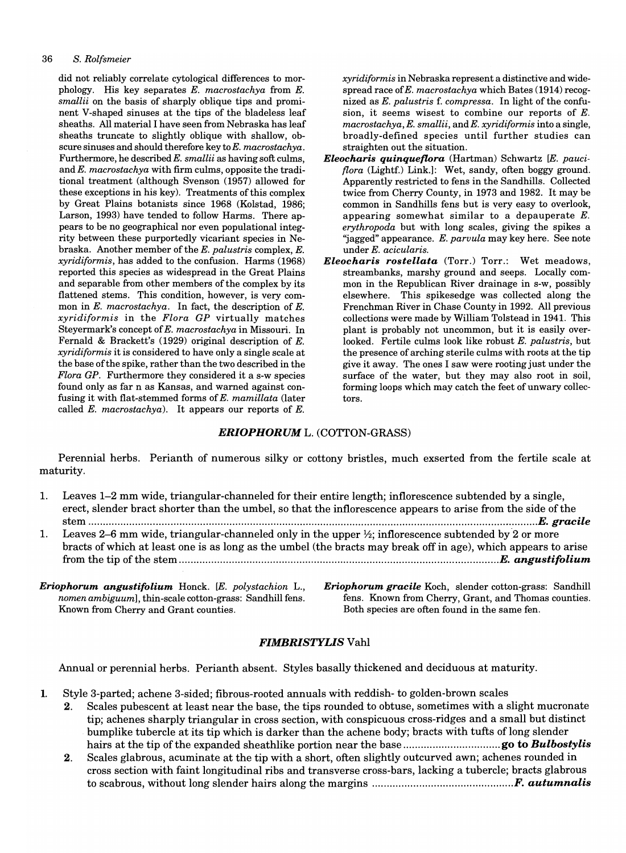#### *36 S. Rolfsmeier*

did not reliably correlate cytological differences to morphology. His key separates *E. macrostachya* from *E. smallii* on the basis of sharply oblique tips and prominent V-shaped sinuses at the tips of the bladeless leaf sheaths. All material I have seen from Nebraska has leaf sheaths truncate to slightly oblique with shallow, obscure sinuses and should therefore key to *E. macrostachya.*  Furthermore, he described *E. smallii* as having soft culms, and *E. macrostachya* with firm culms, opposite the traditional treatment (although Svenson (1957) allowed for these exceptions in his key). Treatments of this complex by Great Plains botanists since 1968 (Kolstad, 1986; Larson, 1993) have tended to follow Harms. There appears to be no geographical nor even populational integrity between these purportedly vicariant species in Nebraska. Another member of the *E. palustris* complex, *E. xyridiformis,* has added to the confusion. Harms (1968) reported this species as widespread in the Great Plains and separable from other members of the complex by its flattened stems. This condition, however, is very common in *E. macrostachya.* In fact, the description of *E. xyridiformis* in the *Flora GP* virtually matches Steyermark's concept of *E. macrostachya* in Missouri. In Fernald & Brackett's (1929) original description of E. *xyridiformis* it is considered to have only a single scale at the base of the spike, rather than the two described in the *Flora GP.* Furthermore they considered it a s-w species found only as far n as Kansas, and warned against confusing it with flat-stemmed forms of *E. mamillata* (later called *E. macrostachya).* It appears our reports of *E.* 

*xyridiformis* in Nebraska represent a distinctive and widespread race of *E. macrostachya* which Bates (1914) recognized as *E. palustris* f. *compressa.* In light of the confusion, it seems wisest to combine our reports of E. *macrostachya, E. smallii,* and *E. xyridiformis* into a single, broadly-defined species until further studies can straighten out the situation.

- *Eleocharis quinqueflora* (Hartman) Schwartz *[E. pauciflora* (Lightf.) Link.]: Wet, sandy, often boggy ground. Apparently restricted to fens in the Sandhills. Collected twice from Cherry County, in 1973 and 1982. It may be common in Sandhills fens but is very easy to overlook, appearing somewhat similar to a depauperate E. *erythropoda* but with long scales, giving the spikes a "jagged" appearance. E. parvula may key here. See note under *E. acicularis.*
- *Eleocharis rostellata* (Torr.) Torr.: Wet meadows, streambanks, marshy ground and seeps. Locally common in the Republican River drainage in s-w, possibly elsewhere. This spikesedge was collected along the Frenchman River in Chase County in 1992. All previous collections were made by William Tolstead in 1941. This plant is probably not uncommon, but it is easily overlooked. Fertile culms look like robust *E. palustris,* but the presence of arching sterile culms with roots at the tip give it away. The ones I saw were rooting just under the surface of the water, but they may also root in soil, forming loops which may catch the feet of unwary collectors.

#### *ERIOPHORUM* L. (COTTON-GRASS)

Perennial herbs. Perianth of numerous silky or cottony bristles, much exserted from the fertile scale at maturity.

|    | 1. Leaves 1–2 mm wide, triangular-channeled for their entire length; inflorescence subtended by a single,<br>erect, slender bract shorter than the umbel, so that the inflorescence appears to arise from the side of the |
|----|---------------------------------------------------------------------------------------------------------------------------------------------------------------------------------------------------------------------------|
|    |                                                                                                                                                                                                                           |
| 1. | Leaves 2–6 mm wide, triangular-channeled only in the upper 1/2; inflorescence subtended by 2 or more<br>bracts of which at least one is as long as the umbel (the bracts may break off in age), which appears to arise    |

*Eriophorum angustifolium* Honck. *[E. polystachion* L., *nomen ambiguuml,* thin-scale cotton-grass: Sandhill fens. Known from Cherry and Grant counties.

*Eriophorum gracile* Koch, slender cotton-grass: Sandhill fens. Known from Cherry, Grant, and Thomas counties. Both species are often found in the same fen.

#### *FIMBRISTYLIS* Vahl

Annual or perennial herbs. Perianth absent. Styles basally thickened and deciduous at maturity.

- 1. Style 3-parted; achene 3-sided; fibrous-rooted annuals with reddish- to golden-brown scales
	- 2. Scales pubescent at least near the base, the tips rounded to obtuse, sometimes with a slight mucronate tip; achenes sharply triangular in cross section, with conspicuous cross-ridges and a small but distinct bumplike tubercle at its tip which is darker than the achene body; bracts with tufts of long slender hairs at the tip of the expanded sheathlike portion near the base ................................. go to *Bulbostylis*
	- 2. Scales glabrous, acuminate at the tip with a short, often slightly outcurved awn; achenes rounded in cross section with faint longitudinal ribs and transverse cross-bars, lacking a tubercle; bracts glabrous to scabrous, without long slender hairs along the margins ............................................ *.... F. autumnalis*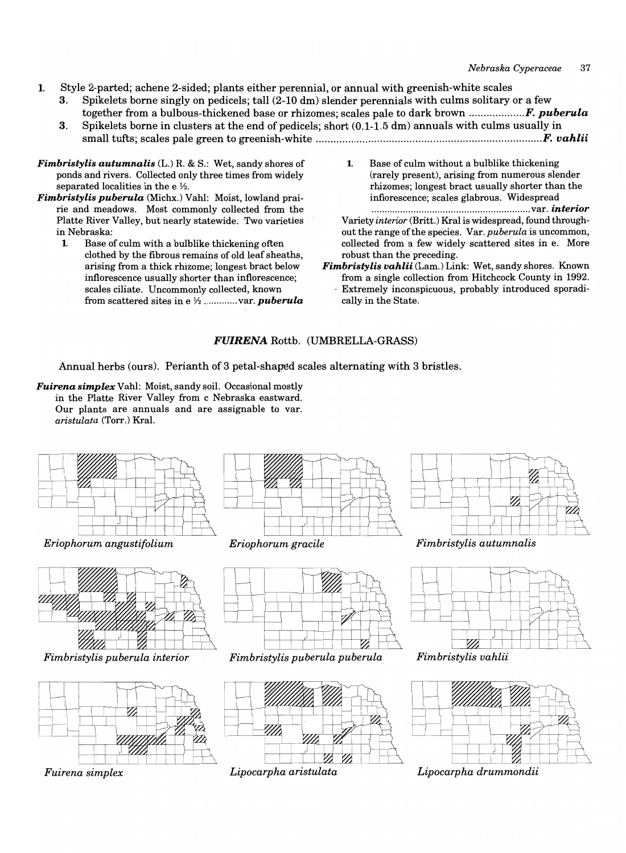- 1. Style 2-parted; achene 2-sided; plants either perennial, or annual with greenish-white scales
	- 3. Spikelets borne singly on pedicels; tall (2-10 dm) slender perennials with culms solitary or a few together from a bulbous-thickened base or rhizomes; scales pale to dark brown *................... F. puberula*
	- 3. Spikelets borne in clusters at the end of pedicels; short  $(0.1-1.5 \text{ dm})$  annuals with culms usually in small tufts; scales pale green to greenish-white ............................................................................ *. F. vahlii*
- *Fimbristylis autumnalis* (L.) R. & S.: Wet, sandy shores of ponds and rivers. Collected only three times from widely separated localities in the e  $\frac{1}{2}$ .
- *Fimbristylis puberula* (Michx.) Vahl: Moist, lowland prairie and meadows. Most commonly collected from the Platte River Valley, but nearly statewide. Two varieties in Nebraska:
	- 1. Base of culm with a bulblike thickening often clothed by the fibrous remains of old leaf sheaths, arising from a thick rhizome; longest bract below inflorescence usually shorter than inflorescence; scales ciliate. Uncommonly collected, known from scattered sites in e *Y2* ............. var. *puberula*
- 1. Base of culm without a bulblike thickening (rarely present), arising from numerous slender rhizomes; longest bract usually shorter than the inflorescence; scales glabrous. Widespread

............................................................ var. *interior*  Variety *interior* (Britt.) Kral is widespread, found throughout the range ofthe species. *Var.puberula* is uncommon, collected from a few widely scattered sites in e. More robust than the preceding.

- *Fimbristylis vahlii* (Lam.) Link: Wet, sandy shores. Known from a single collection from Hitchcock County in 1992.
	- Extremely inconspicuous, probably introduced sporadically in the State.

## *FUIRENA* Rottb. (UMBRELLA-GRASS)

Annual herbs (ours). Perianth of 3 petal-shaped scales alternating with 3 bristles.

*Fuirena simplex* Vahl: Moist, sandy soil. Occasional mostly in the Platte River Valley from c Nebraska eastward. Our plants are annuals and are assignable to var. *aristulata* (Torr.) Kral.



*Fuirena simplex Lipocarpha aristulata*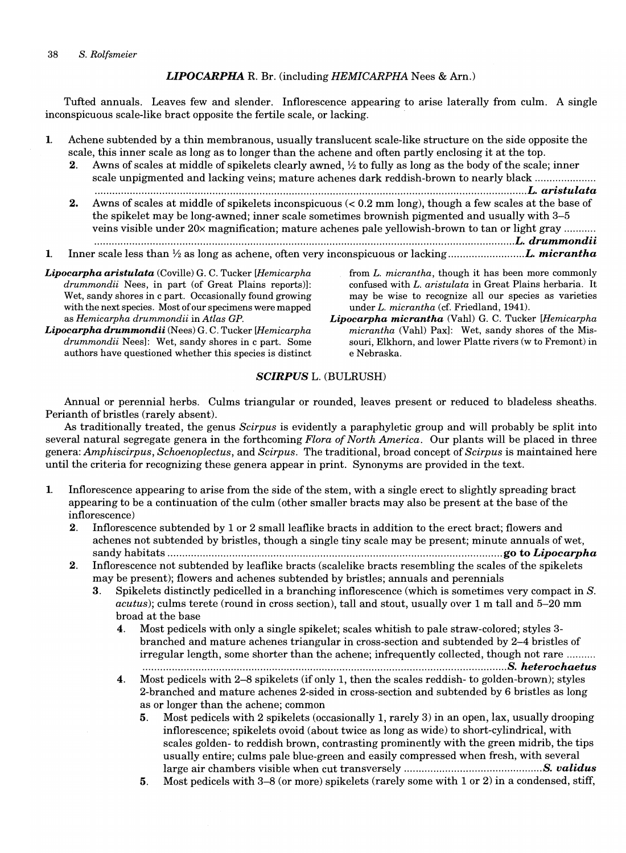## *LIPOCARPHA* R. Br. (including *HEMICARPHA* Nees & Am.)

Tufted annuals. Leaves few and slender. Inflorescence appearing to arise laterally from culm. A single inconspicuous scale-like bract opposite the fertile scale, or lacking.

- 1. Achene subtended by a thin membranous, usually translucent scale-like structure on the side opposite the scale, this inner scale as long as to longer than the achene and often partly enclosing it at the top.
	- 2. Awns of scales at middle of spike lets clearly awned,  $\frac{1}{2}$  to fully as long as the body of the scale; inner scale unpigmented and lacking veins; mature achenes dark reddish-brown to nearly black ...................... .............................................................................................................................. .................... *. L. aristulata*
	- 2. Awns of scales at middle of spikelets inconspicuous  $(< 0.2$  mm long), though a few scales at the base of the spikelet may be long-awned; inner scale sometimes brownish pigmented and usually with 3-5 veins visible under 20x magnification; mature achenes pale yellowish-brown to tan or light gray .......... ............................................................................................................*................................... L. drummondii*
- 1. Inner scale less than Y2 as long as achene, often very inconspicuous or lacking ................ *.......... L. micrantha*
- *Lipocarpha aristulata* (Coville) G. C. Tucker *[Hemicarpha*  drummondii Nees, in part (of Great Plains reports)]: Wet, sandy shores in c part. Occasionally found growing with the next species. Most of our specimens were mapped as *Hemicarpha drummondii* in *Atlas GP.*
- *Lipocarpha drummondii* (Nees) G. C. Tucker *[Hemicarpha drummondii* Nees): Wet, sandy shores in c part. Some authors have questioned whether this species is distinct
- from *L. micrantha,* though it has been more commonly confused with *L. aristulata* in Great Plains herbaria. It may be wise to recognize all our species as varieties under L. *micrantha* (cf. Friedland, 1941).
- *Lipocarpha micrantha* (Vahl) G. C. Tucker *[Hemicarpha micrantha* (Vahl) Pax): Wet, sandy shores of the Missouri, Elkhorn, and lower Platte rivers (w to Fremont) in e Nebraska.

## *SCIRPUS* L. (BULRUSH)

Annual or perennial herbs. Culms triangular or rounded, leaves present or reduced to bladeless sheaths. Perianth of bristles (rarely absent).

As traditionally treated, the genus *Scirpus* is evidently a paraphyletic group and will probably be split into several natural segregate genera in the forthcoming *Flora of North America.* Our plants will be placed in three genera: *Amphiscirpus, Schoenoplectus,* and *Scirpus.* The traditional, broad concept of *Scirpus* is maintained here until the criteria for recognizing these genera appear in print. Synonyms are provided in the text.

- 1. Inflorescence appearing to arise from the side of the stem, with a single erect to slightly spreading bract appearing to be a continuation of the culm (other smaller bracts may also be present at the base of the inflorescence)
	- 2. Inflorescence subtended by 1 or 2 small leaflike bracts in addition to the erect bract; flowers and achenes not subtended by bristles, though a single tiny scale may be present; minute annuals of wet, sandy habitats .................................................................................................................. go to *Lipocarpha*
	- 2. Inflorescence not subtended by leaflike bracts (scalelike bracts resembling the scales of the spikelets may be present); flowers and achenes subtended by bristles; annuals and perennials
		- 3. Spikelets distinctly pedicelled in a branching inflorescence (which is sometimes very compact in *S. acutus);* culms terete (round in cross section), tall and stout, usually over 1 m tall and 5-20 mm broad at the base
			- 4. Most pedicels with only a single spikelet; scales whitish to pale straw-colored; styles 3 branched and mature achenes triangular in cross-section and subtended by 2-4 bristles of irregular length, some shorter than the achene; infrequently collected, though not rare ......... . ...................... ........................ .................................... ............ ...... .................... *.... S. heterochaetus*
			- 4. Most pedicels with 2-8 spikelets (if only 1, then the scales reddish- to golden-brown); styles 2-branched and mature achenes 2-sided in cross-section and subtended by 6 bristles as long as or longer than the achene; common
				- 5. Most pedicels with 2 spikelets (occasionally 1, rarely 3) in an open, lax, usually drooping inflorescence; spikelets ovoid (about twice as long as wide) to short-cylindrical, with scales golden- to reddish brown, contrasting prominently with the green midrib, the tips usually entire; culms pale blue-green and easily compressed when fresh, with several large air chambers visible when cut transversely *............................................... S. validus*
				- 5. Most pedicels with 3-8 (or more) spikelets (rarely some with 1 or 2) in a condensed, stiff,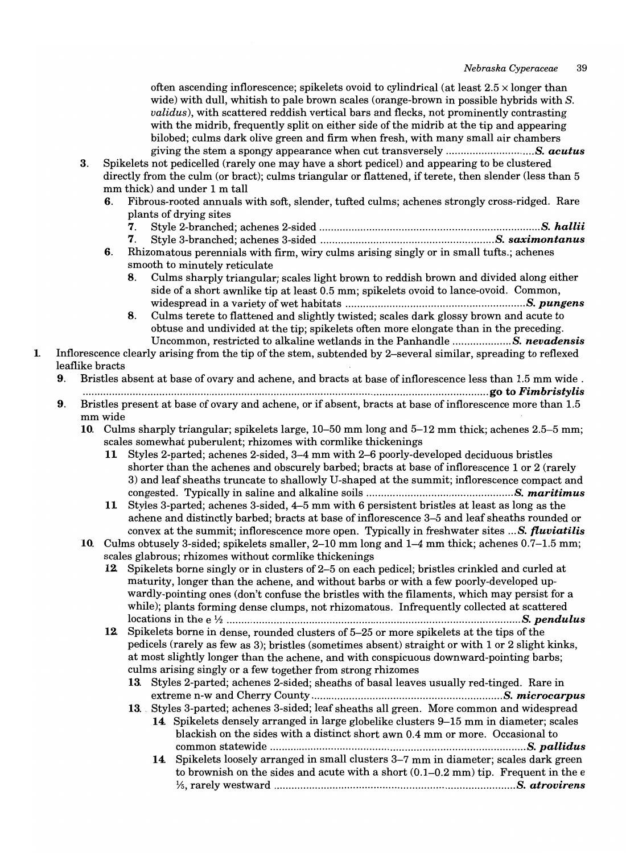often ascending inflorescence; spikelets ovoid to cylindrical (at least  $2.5 \times$  longer than wide) with dull, whitish to pale brown scales (orange-brown in possible hybrids with *S. validus),* with scattered reddish vertical bars and flecks, not prominently contrasting with the midrib, frequently split on either side of the midrib at the tip and appearing bilobed; culms dark olive green and firm when fresh, with many small air chambers giving the stem a spongy appearance when cut transversely .............................. 8. *acutus* 

- 3. Spikelets not pedicelled (rarely one may have a short pedicel) and appearing to be clustered directly from the culm (or bract); culms triangular or flattened, if terete, then slender (less than 5 mm thick) and under 1 m tall
	- 6. Fibrous-rooted annuals with soft, slender, tufted culms; achenes strongly cross-ridged. Rare plants of drying sites
		- 7. Style 2-branched; achenes 2-sided ........................................................................... 8. *hallii*
		- 7. Style 3-branched; achenes 3-sided ........................................................... 8. *saximontanus*
	- 6. Rhizomatous perennials with firm, wiry culms arising singly or in small tufts.; achenes smooth to minutely reticulate
		- 8. Culms sharply triangular; scales light brown to reddish brown and divided along either side of a short awnlike tip at least 0.5 mm; spikelets ovoid to lance-ovoid. Common, widespread in a variety of wet habitats ............................................................. 8. *pungens*
		- 8. Culms terete to flattened and slightly twisted; scales dark glossy brown and acute to obtuse and undivided at the tip; spikelets often more elongate than in the preceding. Uncommon, restricted to alkaline wetlands in the Panhandle .................... 8. *nevadensis*
- 1. Inflorescence clearly arising from the tip of the stem, subtended by 2-several similar, spreading to reflexed leaflike bracts
	- 9. Bristles absent at base of ovary and achene, and bracts at base of inflorescence less than 1.5 mm wide .
	- .............................................................................................................................. ............ go to *Fimbristylis*  9. Bristles present at base of ovary and achene, or if absent, bracts at base of inflorescence more than 1.5 mm wide
		- 10. Culms sharply triangular; spikelets large, 10-50 mm long and 5-12 mm thick; achenes 2.5-5 mm; scales somewhat puberulent; rhizomes with cormlike thickenings
			- 11 Styles 2-parted; achenes 2-sided, 3-4 mm with 2-6 poorly-developed deciduous bristles shorter than the achenes and obscurely barbed; bracts at base of inflorescence 1 or 2 (rarely 3) and leaf sheaths truncate to shallowly U-shaped at the summit; inflorescence compact and congested. Typically in saline and alkaline soils .................................................. 8. *maritimus*
			- 11 Styles 3-parted; achenes 3-sided, 4-5 mm with 6 persistent bristles at least as long as the achene and distinctly barbed; bracts at base of inflorescence 3-5 and leaf sheaths rounded or convex at the summit; inflorescence more open. Typically in freshwater sites ... 8. *fluviatilis*
		- 10. Culms obtusely 3-sided; spikelets smaller, 2-10 mm long and 1-4 mm thick; achenes 0.7-1.5 mm; scales glabrous; rhizomes without cormlike thickenings
			- 12. Spikelets borne singly or in clusters of 2-5 on each pedicel; bristles crinkled and curled at maturity, longer than the achene, and without barbs or with a few poorly-developed upwardly-pointing ones (don't confuse the bristles with the filaments, which may persist for a while); plants forming dense clumps, not rhizomatous. Infrequently collected at scattered locations in the e 1;2 .................................................................................................... 8. *pendulus*
			- 12. Spikelets borne in dense, rounded clusters of 5-25 or more spikelets at the tips of the pedicels (rarely as few as 3); bristles (sometimes absent) straight or with 1 or 2 slight kinks, at most slightly longer than the achene, and with conspicuous downward-pointing barbs; culms arising singly or a few together from strong rhizomes
				- 13. Styles 2-parted; achenes 2-sided; sheaths of basal leaves usually red-tinged. Rare in extreme n-w and Cherry County ................................................................. 8. *microcarpus*
				- 13. Styles 3-parted; achenes 3-sided; leaf sheaths all green. More common and widespread 14. Spikelets densely arranged in large globelike clusters 9-15 mm in diameter; scales blackish on the sides with a distinct short awn 0.4 mm or more. Occasional to common statewide ....................................................................................... 8. *pallidus* 
					- 14. Spikelets loosely arranged in small clusters 3-7 mm in diameter; scales dark green to brownish on the sides and acute with a short  $(0.1-0.2 \text{ mm})$  tip. Frequent in the e 15, rarely westward .................................................................................. 8. *atrovirens*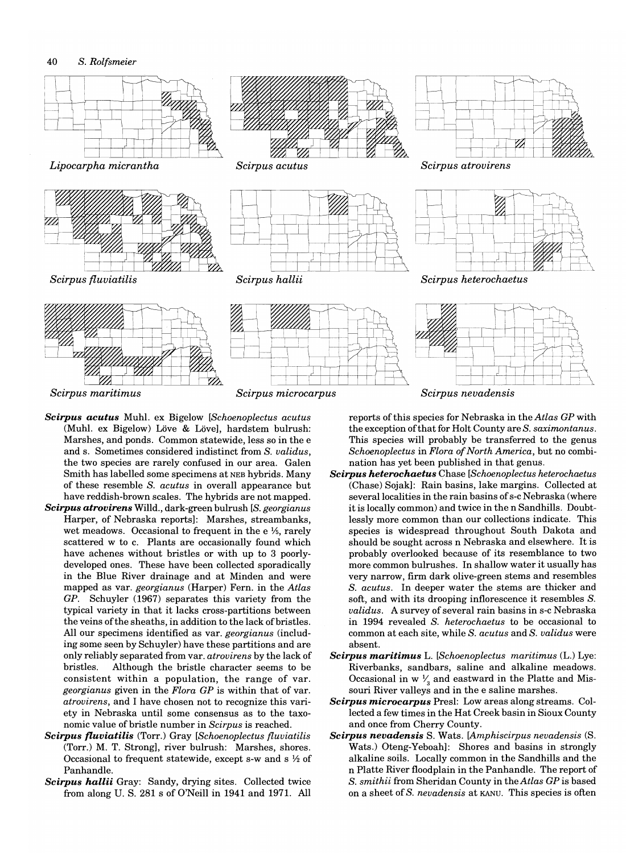

- *Scirpus acutus* Muhl. ex Bigelow *[Schoenoplectus acutus*  (Muhl. ex Bigelow) Löve & Lövel, hardstem bulrush: Marshes, and ponds. Common statewide, less so in the e and s. Sometimes considered indistinct from S. *validus,*  the two species are rarely confused in our area. Galen Smith has labelled some specimens at NEB hybrids. Many of these resemble S. *acutus* in overall appearance but have reddish-brown scales. The hybrids are not mapped.
- *Scirpus atrovirens* Willd., dark-green bulrush *[S. georgianus* Harper, of Nebraska reports]: Marshes, streambanks, wet meadows. Occasional to frequent in the e 1/6, rarely scattered w to c. Plants are occasionally found which have achenes without bristles or with up to 3 poorlydeveloped ones. These have been collected sporadically in the Blue River drainage and at Minden and were mapped as var. *georgianus* (Harper) Fern. in the *Atlas GP.* Schuyler (1967) separates this variety from the typical variety in that it lacks cross-partitions between the veins of the sheaths, in addition to the lack of bristles. All our specimens identified as var. *georgianus* (including some seen by Schuyler) have these partitions and are only reliably separated from var. *atrovirens* by the lack of bristles. Although the bristle character seems to be consistent within a population, the range of var. *georgianus* given in the *Flora GP* is within that of var. *atrovirens,* and I have chosen not to recognize this variety in Nebraska until some consensus as to the taxonomic value of bristle number in *Scirpus* is reached.
- *Scirpus fluviatilis* (Torr.) Gray *[Schoenoplectus fluviatilis*  (Torr.) M. T. Strong], river bulrush: Marshes, shores. Occasional to frequent statewide, except s-w and s  $\frac{1}{2}$  of Panhandle.
- *Scirpus hallii* Gray: Sandy, drying sites. Collected twice from along U. S. 281 s of O'Neill in 1941 and 1971. All

reports of this species for Nebraska in the *Atlas GP* with the exception of that for Holt County are S. *saximontanus.*  This species will probably be transferred to the genus *Schoenoplectus* in *Flora of North America,* but no combination has yet been published in that genus.

- *Scirpus heterochaetus* Chase *[Schoenoplectus heterochaetus*  (Chase) Sojakl: Rain basins, lake margins. Collected at several localities in the rain basins of s-c Nebraska (where it is locally common) and twice in the n Sandhills. Doubtlessly more common than our collections indicate. This species is widespread throughout South Dakota and should be sought across n Nebraska and elsewhere. It is probably overlooked because of its resemblance to two more common bulrushes. In shallow water it usually has very narrow, firm dark olive-green stems and resembles S. *acutus.* In deeper water the stems are thicker and soft, and with its drooping inflorescence it resembles S. *validus.* A survey of several rain basins in s-c Nebraska in 1994 revealed S. *heterochaetus* to be occasional to common at each site, while S. *acutus* and S. *validus* were absent.
- *Scirpus maritimus* L. *[Schoenoplectus maritimus* (L.) Lye: Riverbanks, sandbars, saline and alkaline meadows. Occasional in w  $\frac{1}{6}$  and eastward in the Platte and Missouri River valleys and in the e saline marshes.
- *Scirpus microcarpus* Presl: Low areas along streams. Collected a few times in the Hat Creek basin in Sioux County and once from Cherry County.
- *Scirpus nevadensis* S. Wats. *[Amphiscirpus nevadensis* (S. Wats.) Oteng-Yeboahl: Shores and basins in strongly alkaline soils. Locally common in the Sandhills and the n Platte River floodplain in the Panhandle. The report of S. *smithii* from Sheridan County in the *Atlas GP* is based on a sheet of S. *nevadensis* at KANU. This species is often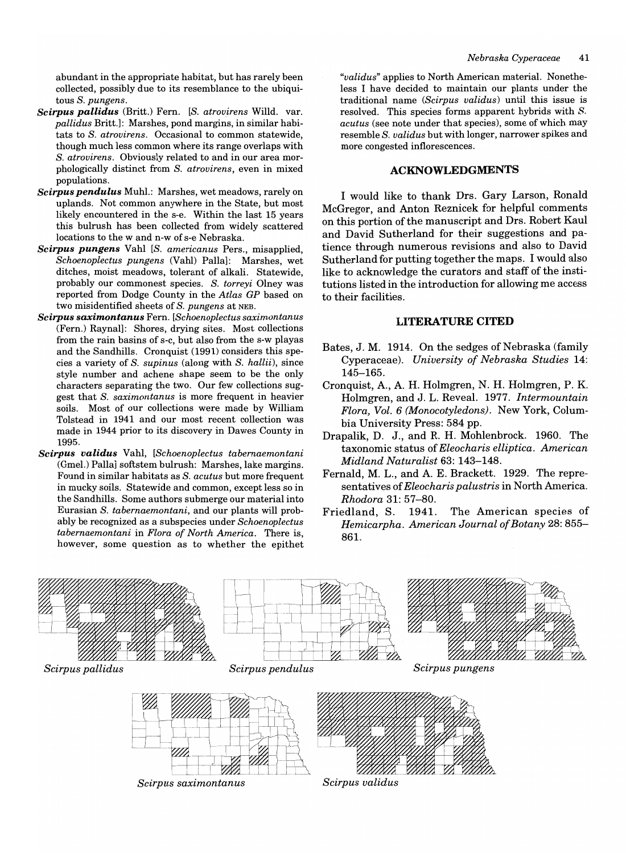abundant in the appropriate habitat, but has rarely been collected, possibly due to its resemblance to the ubiquitous S. *pungens.* 

- *Scirpus pallidus* (Britt.) Fern. *[S. atrovirens Willd. var. pallidus* Britt.): Marshes, pond margins, in similar habitats to S. *atrovirens.* Occasional to common statewide, though much less common where its range overlaps with S. *atrovirens.* Obviously related to and in our area morphologically distinct from S. *atrovirens,* even in mixed populations.
- *Scirpus pendulus* Muhl.: Marshes, wet meadows, rarely on uplands. Not common anywhere in the State, but most likely encountered in the s-e. Within the last 15 years this bulrush has been collected from widely scattered locations to the wand n-w of s-e Nebraska.
- *Scirpus pungens* Vahl *[S. americanus Pers., misapplied, Schoenoplectus pungens* (Vahl) Palla): Marshes, wet ditches, moist meadows, tolerant of alkali. Statewide, probably our commonest species. S. *torreyi* Olney was reported from Dodge County in the *Atlas GP* based on two misidentified sheets of S. *pungens* at NEB.
- *Scirpus saximontanus* Fern. *[Schoenoplectus saximontanus*  (Fern.) Raynal): Shores, drying sites. Most collections from the rain basins of s-c, but also from the s-w playas and the Sandhills. Cronquist (1991) considers this species a variety of S. *supinus* (along with S. *hallii),* since style number and achene shape seem to be the only characters separating the two. Our few collections suggest that S. *saximontanus* is more frequent in heavier soils. Most of our collections were made by William Tolstead in 1941 and our most recent collection was made in 1944 prior to its discovery in Dawes County in 1995.
- *Scirpus validus* Vahl, *[Schoenoplectus tabernaemontani*  (Gmel.) Pallai softstem bulrush: Marshes, lake margins. Found in similar habitats as S. *acutus* but more frequent in mucky soils. Statewide and common, except less so in the Sandhills. Some authors submerge our material into Eurasian S. *tabemaemontani,* and our plants will probably be recognized as a subspecies under *Schoenoplectus tabemaemontani* in *Flora of North America.* There is, however, some question as to whether the epithet

*"validus"* applies to North American material. Nonetheless I have decided to maintain our plants under the traditional name *(Scirpus validus)* until this issue is resolved. This species forms apparent hybrids with S. *acutus* (see note under that species), some of which may resemble S. *validus* but with longer, narrower spikes and more congested inflorescences.

#### **ACKNOWLEDGMENTS**

I would like to thank Drs. Gary Larson, Ronald McGregor, and Anton Reznicek for helpful comments on this portion of the manuscript and Drs. Robert Kaul and David Sutherland for their suggestions and patience through numerous revisions and also to David Sutherland for putting together the maps. I would also like to acknowledge the curators and staff of the institutions listed in the introduction for allowing me access to their facilities.

#### **LITERATURE CITED**

- Bates, J. M. 1914. On the sedges of Nebraska (family Cyperaceae). *University of Nebraska Studies 14:*  145-165.
- Cronquist, A, A H. Holmgren, N. H. Holmgren, P. K. Holmgren, and J. L. Reveal. 1977. *Intermountain Flora, Vol.* 6 *(Monocotyledons).* New York, Columbia University Press: 584 pp.
- Drapalik, D. J., and R. H. Mohlenbrock. 1960. The taxonomic status of *Eleocharis elliptica. American Midland Naturalist* 63: 143-148.
- Fernald, M. L., and A. E. Brackett. 1929. The representatives of *Eleocharis palustris* in North America. *Rhodora* 31: 57-80.
- Friedland, S. 1941. The American species of *Hemicarpha. American Journal of Botany* 28: 855- 861.